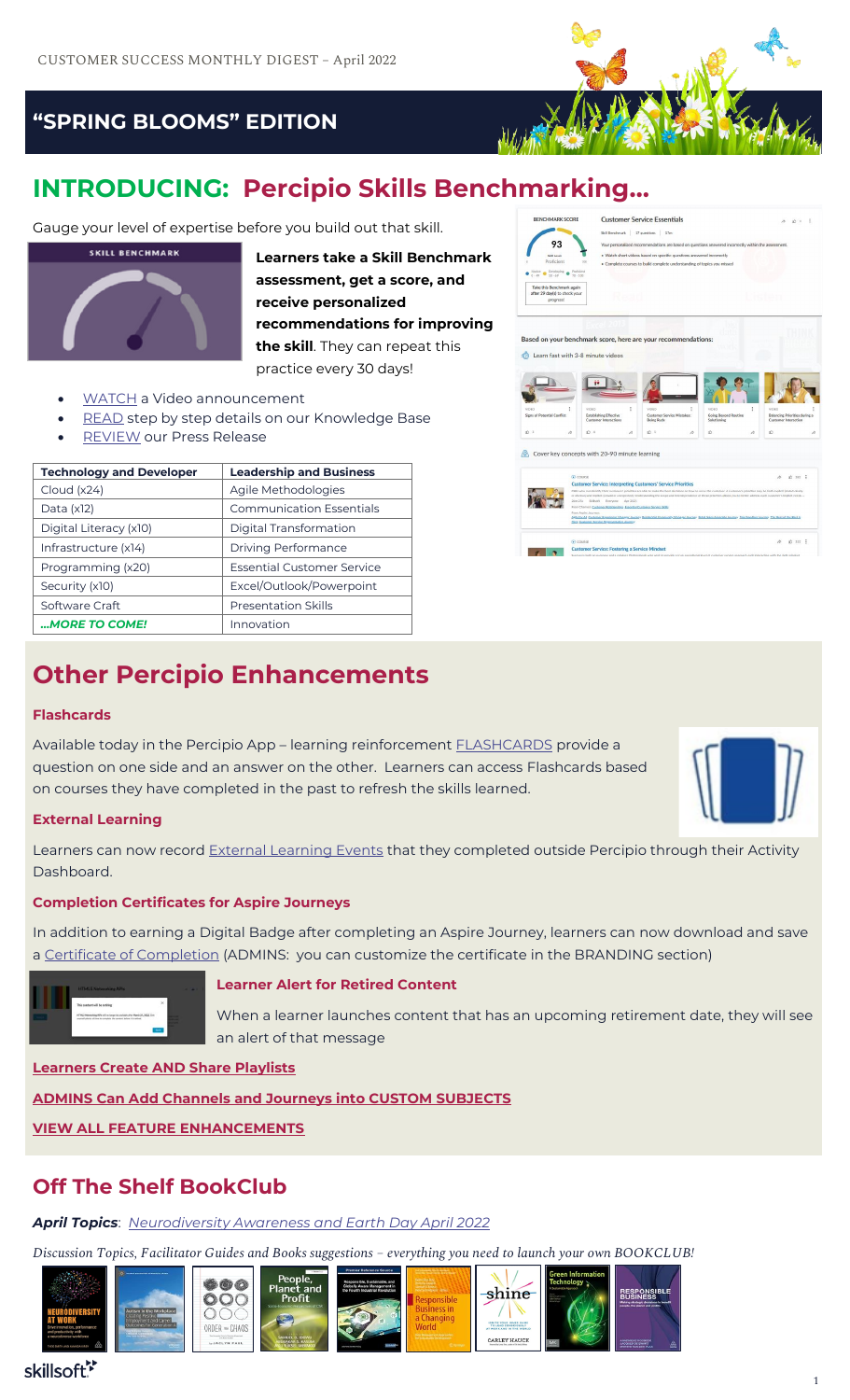

ner Service Essentials  $\frac{1}{2}$  avestions  $\frac{1}{2}$ 

93

 $\bullet \xrightarrow{\text{Nonloc}} \bullet \xrightarrow{\text{Develiptic}} \bullet \xrightarrow{\text{Pertclent}}$ Take this Benchmark again<br>after 29 day(s) to check your

sed on your benchmark score, here are your recor

**THE** 

Cover key concepts with 20-90 minute learning

 $\mathbb{R}$   $\mathbb{R}$   $\mathbb{R}$   $\mathbb{R}$   $\mathbb{R}$ 

Learn fast with 3-8 minute videos

### **"SPRING BLOOMS" EDITION**

## **INTRODUCING: Percipio Skills Benchmarking…**

Gauge your level of expertise before you build out that skill.



**Learners take a Skill Benchmark assessment, get a score, and receive personalized recommendations for improving the skill**. They can repeat this practice every 30 days!

- [WATCH](https://www.youtube.com/watch?v=sMZS6xYJvOA) a Video announcement
- [READ](https://documentation.skillsoft.com/en_us/percipio/Content/B_Learner/lrnr_benchmark.htm) step by step details on our Knowledge Base
- **[REVIEW](https://www.skillsoft.com/press-releases/skillsoft-launches-new-assessment-capability-in-percipio-to-accelerate-critical-skill-mastery-and-close-enterprise-skill-gaps?utm_source=facebook&utm_medium=social&fbclid=IwAR09J0PqHrEgYlEX0OMTp17Z5WXYkgsniUSjj0IfxsD49GrJXM5BCf2OQRc)** our Press Release

| <b>Technology and Developer</b> | <b>Leadership and Business</b>    |
|---------------------------------|-----------------------------------|
| Cloud (x24)                     | Agile Methodologies               |
| Data $(x12)$                    | <b>Communication Essentials</b>   |
| Digital Literacy (x10)          | Digital Transformation            |
| Infrastructure (x14)            | <b>Driving Performance</b>        |
| Programming (x20)               | <b>Essential Customer Service</b> |
| Security (x10)                  | Excel/Outlook/Powerpoint          |
| Software Craft                  | <b>Presentation Skills</b>        |
| MORE TO COME!                   | Innovation                        |

### **Other Percipio Enhancements**

#### **Flashcards**

Available today in the Percipio App – learning reinforcement [FLASHCARDS](https://documentation.skillsoft.com/en_us/percipio/Content/B_Learner/lrnr_flashcards.htm) provide a question on one side and an answer on the other. Learners can access Flashcards based on courses they have completed in the past to refresh the skills learned.

 $0.382$ 

 $40.32$  |

### **External Learning**

Learners can now record **External Learning Events** that they completed outside Percipio through their Activity Dashboard.

### **Completion Certificates for Aspire Journeys**

In addition to earning a Digital Badge after completing an Aspire Journey, learners can now download and save a [Certificate of Completion](https://documentation.skillsoft.com/en_us/percipio/Content/C_Release_Notes/2022/mar2022_nf.htm) (ADMINS: you can customize the certificate in the BRANDING section)



### **Learner Alert for Retired Content**

When a learner launches content that has an upcoming retirement date, they will see an alert of that message

**[Learners Create AND Share Playlists](https://documentation.skillsoft.com/en_us/percipio/Content/B_Learner/lrnr_playlist.htm)**

**[ADMINS Can Add Channels and Journeys into CUSTOM SUBJECTS](https://documentation.skillsoft.com/en_us/percipio/Content/A_Administrator/admn_cc_subjects_create.htm)**

**[VIEW ALL FEATURE ENHANCEMENTS](https://documentation.skillsoft.com/en_us/percipio/Content/C_Release_Notes/2022/mar2022_nf.htm)**

### **Off The Shelf BookClub**

*April Topics*: *[Neurodiversity Awareness and Earth Day April 2022](https://www.skillsoft.com/off-the-shelf#monthly-selections)*

*Discussion Topics, Facilitator Guides and Books suggestions – everything you need to launch your own BOOKCLUB!*